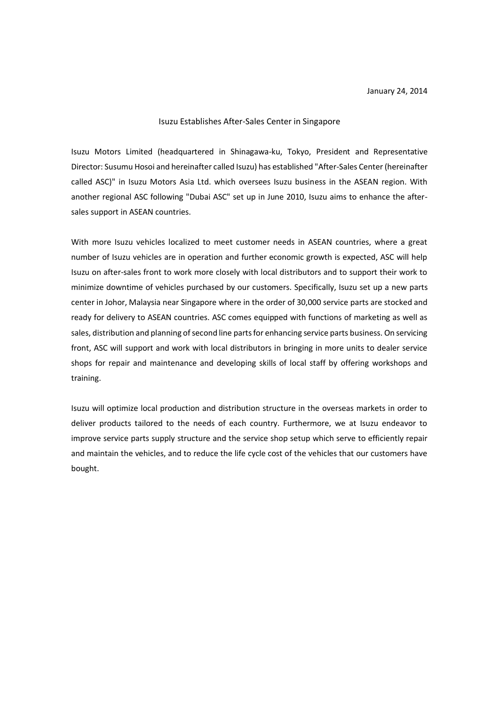## Isuzu Establishes After-Sales Center in Singapore

Isuzu Motors Limited (headquartered in Shinagawa-ku, Tokyo, President and Representative Director: Susumu Hosoi and hereinafter called Isuzu) has established "After-Sales Center (hereinafter called ASC)" in Isuzu Motors Asia Ltd. which oversees Isuzu business in the ASEAN region. With another regional ASC following "Dubai ASC" set up in June 2010, Isuzu aims to enhance the aftersales support in ASEAN countries.

With more Isuzu vehicles localized to meet customer needs in ASEAN countries, where a great number of Isuzu vehicles are in operation and further economic growth is expected, ASC will help Isuzu on after-sales front to work more closely with local distributors and to support their work to minimize downtime of vehicles purchased by our customers. Specifically, Isuzu set up a new parts center in Johor, Malaysia near Singapore where in the order of 30,000 service parts are stocked and ready for delivery to ASEAN countries. ASC comes equipped with functions of marketing as well as sales, distribution and planning of second line parts for enhancing service parts business. On servicing front, ASC will support and work with local distributors in bringing in more units to dealer service shops for repair and maintenance and developing skills of local staff by offering workshops and training.

Isuzu will optimize local production and distribution structure in the overseas markets in order to deliver products tailored to the needs of each country. Furthermore, we at Isuzu endeavor to improve service parts supply structure and the service shop setup which serve to efficiently repair and maintain the vehicles, and to reduce the life cycle cost of the vehicles that our customers have bought.